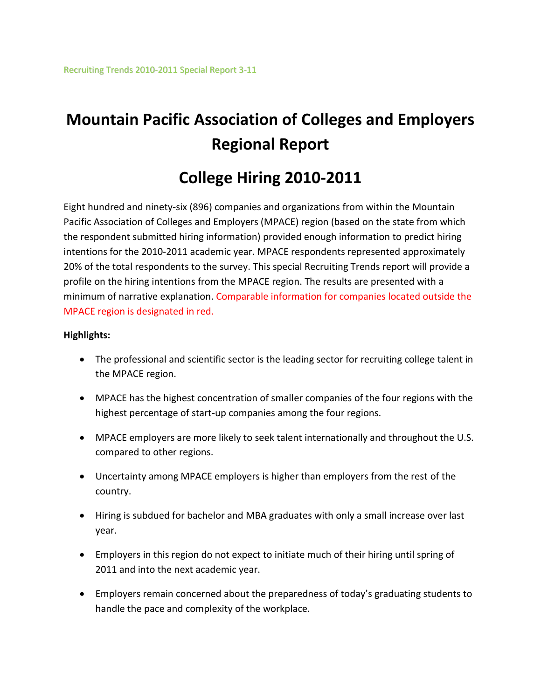# **Mountain Pacific Association of Colleges and Employers Regional Report**

## **College Hiring 2010-2011**

Eight hundred and ninety-six (896) companies and organizations from within the Mountain Pacific Association of Colleges and Employers (MPACE) region (based on the state from which the respondent submitted hiring information) provided enough information to predict hiring intentions for the 2010-2011 academic year. MPACE respondents represented approximately 20% of the total respondents to the survey. This special Recruiting Trends report will provide a profile on the hiring intentions from the MPACE region. The results are presented with a minimum of narrative explanation. Comparable information for companies located outside the MPACE region is designated in red.

### **Highlights:**

- The professional and scientific sector is the leading sector for recruiting college talent in the MPACE region.
- MPACE has the highest concentration of smaller companies of the four regions with the highest percentage of start-up companies among the four regions.
- MPACE employers are more likely to seek talent internationally and throughout the U.S. compared to other regions.
- Uncertainty among MPACE employers is higher than employers from the rest of the country.
- Hiring is subdued for bachelor and MBA graduates with only a small increase over last year.
- Employers in this region do not expect to initiate much of their hiring until spring of 2011 and into the next academic year.
- Employers remain concerned about the preparedness of today's graduating students to handle the pace and complexity of the workplace.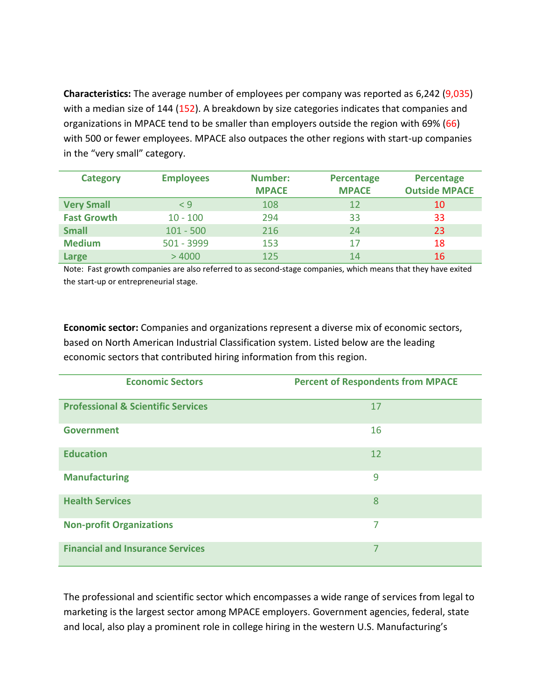**Characteristics:** The average number of employees per company was reported as 6,242 (9,035) with a median size of 144 (152). A breakdown by size categories indicates that companies and organizations in MPACE tend to be smaller than employers outside the region with 69% (66) with 500 or fewer employees. MPACE also outpaces the other regions with start-up companies in the "very small" category.

| <b>Category</b>    | <b>Employees</b> | <b>Number:</b> | Percentage   | Percentage           |
|--------------------|------------------|----------------|--------------|----------------------|
|                    |                  | <b>MPACE</b>   | <b>MPACE</b> | <b>Outside MPACE</b> |
| <b>Very Small</b>  | $\leq 9$         | 108            | 12           | 10                   |
| <b>Fast Growth</b> | $10 - 100$       | 294            | 33           | 33                   |
| <b>Small</b>       | $101 - 500$      | 216            | 24           | 23                   |
| <b>Medium</b>      | 501 - 3999       | 153            | 17           | 18                   |
| <b>Large</b>       | >4000            | 125            | 14           | 16                   |

Note: Fast growth companies are also referred to as second-stage companies, which means that they have exited the start-up or entrepreneurial stage.

**Economic sector:** Companies and organizations represent a diverse mix of economic sectors, based on North American Industrial Classification system. Listed below are the leading economic sectors that contributed hiring information from this region.

| <b>Economic Sectors</b>                       | <b>Percent of Respondents from MPACE</b> |
|-----------------------------------------------|------------------------------------------|
| <b>Professional &amp; Scientific Services</b> | 17                                       |
| <b>Government</b>                             | 16                                       |
| <b>Education</b>                              | 12                                       |
| <b>Manufacturing</b>                          | 9                                        |
| <b>Health Services</b>                        | 8                                        |
| <b>Non-profit Organizations</b>               | 7                                        |
| <b>Financial and Insurance Services</b>       | 7                                        |

The professional and scientific sector which encompasses a wide range of services from legal to marketing is the largest sector among MPACE employers. Government agencies, federal, state and local, also play a prominent role in college hiring in the western U.S. Manufacturing's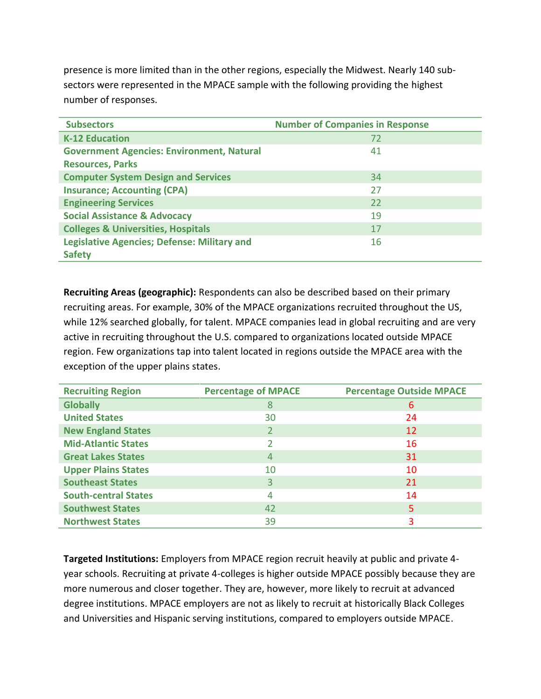presence is more limited than in the other regions, especially the Midwest. Nearly 140 subsectors were represented in the MPACE sample with the following providing the highest number of responses.

| <b>Subsectors</b>                                  | <b>Number of Companies in Response</b> |
|----------------------------------------------------|----------------------------------------|
| <b>K-12 Education</b>                              | 72                                     |
| <b>Government Agencies: Environment, Natural</b>   | 41                                     |
| <b>Resources, Parks</b>                            |                                        |
| <b>Computer System Design and Services</b>         | 34                                     |
| <b>Insurance; Accounting (CPA)</b>                 | 27                                     |
| <b>Engineering Services</b>                        | 22                                     |
| <b>Social Assistance &amp; Advocacy</b>            | 19                                     |
| <b>Colleges &amp; Universities, Hospitals</b>      | 17                                     |
| <b>Legislative Agencies; Defense: Military and</b> | 16                                     |
| <b>Safety</b>                                      |                                        |

**Recruiting Areas (geographic):** Respondents can also be described based on their primary recruiting areas. For example, 30% of the MPACE organizations recruited throughout the US, while 12% searched globally, for talent. MPACE companies lead in global recruiting and are very active in recruiting throughout the U.S. compared to organizations located outside MPACE region. Few organizations tap into talent located in regions outside the MPACE area with the exception of the upper plains states.

| <b>Recruiting Region</b>    | <b>Percentage of MPACE</b> | <b>Percentage Outside MPACE</b> |
|-----------------------------|----------------------------|---------------------------------|
| <b>Globally</b>             | 8                          | 6                               |
| <b>United States</b>        | 30                         | 24                              |
| <b>New England States</b>   |                            | 12                              |
| <b>Mid-Atlantic States</b>  |                            | 16                              |
| <b>Great Lakes States</b>   | 4                          | 31                              |
| <b>Upper Plains States</b>  | 10                         | 10                              |
| <b>Southeast States</b>     |                            | 21                              |
| <b>South-central States</b> | 4                          | 14                              |
| <b>Southwest States</b>     | 42                         | 5                               |
| <b>Northwest States</b>     | 39                         | 3                               |

**Targeted Institutions:** Employers from MPACE region recruit heavily at public and private 4 year schools. Recruiting at private 4-colleges is higher outside MPACE possibly because they are more numerous and closer together. They are, however, more likely to recruit at advanced degree institutions. MPACE employers are not as likely to recruit at historically Black Colleges and Universities and Hispanic serving institutions, compared to employers outside MPACE.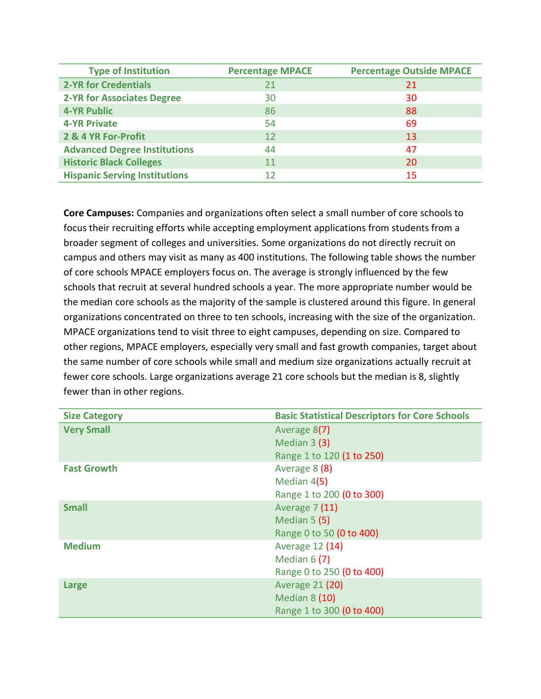| <b>Type of Institution</b>           | <b>Percentage MPACE</b> | <b>Percentage Outside MPACE</b> |
|--------------------------------------|-------------------------|---------------------------------|
| <b>2-YR for Credentials</b>          | 21                      | 21                              |
| <b>2-YR for Associates Degree</b>    | 30                      | 30                              |
| <b>4-YR Public</b>                   | 86                      | 88                              |
| <b>4-YR Private</b>                  | 54                      | 69                              |
| 2 & 4 YR For-Profit                  | 12                      | 13                              |
| <b>Advanced Degree Institutions</b>  | 44                      | 47                              |
| <b>Historic Black Colleges</b>       | 11                      | 20                              |
| <b>Hispanic Serving Institutions</b> | 12                      | 15                              |

**Core Campuses:** Companies and organizations often select a small number of core schools to focus their recruiting efforts while accepting employment applications from students from a broader segment of colleges and universities. Some organizations do not directly recruit on campus and others may visit as many as 400 institutions. The following table shows the number of core schools MPACE employers focus on. The average is strongly influenced by the few schools that recruit at several hundred schools a year. The more appropriate number would be the median core schools as the majority of the sample is clustered around this figure. In general organizations concentrated on three to ten schools, increasing with the size of the organization. MPACE organizations tend to visit three to eight campuses, depending on size. Compared to other regions, MPACE employers, especially very small and fast growth companies, target about the same number of core schools while small and medium size organizations actually recruit at fewer core schools. Large organizations average 21 core schools but the median is 8, slightly fewer than in other regions.

| <b>Size Category</b> | <b>Basic Statistical Descriptors for Core Schools</b> |
|----------------------|-------------------------------------------------------|
| <b>Very Small</b>    | Average 8(7)                                          |
|                      | Median $3(3)$                                         |
|                      | Range 1 to 120 (1 to 250)                             |
| <b>Fast Growth</b>   | Average 8 (8)                                         |
|                      | Median 4(5)                                           |
|                      | Range 1 to 200 (0 to 300)                             |
| <b>Small</b>         | <b>Average 7 (11)</b>                                 |
|                      | Median 5 (5)                                          |
|                      | Range 0 to 50 (0 to 400)                              |
| <b>Medium</b>        | Average 12 (14)                                       |
|                      | Median $6(7)$                                         |
|                      | Range 0 to 250 (0 to 400)                             |
| Large                | <b>Average 21 (20)</b>                                |
|                      | <b>Median 8 (10)</b>                                  |
|                      | Range 1 to 300 (0 to 400)                             |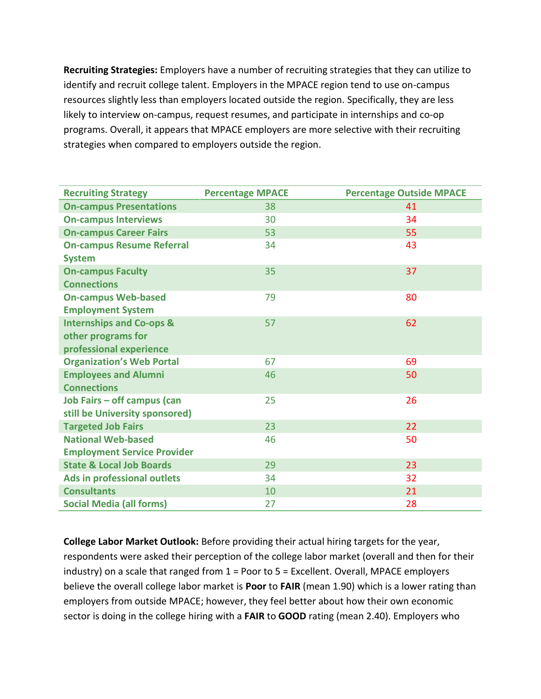**Recruiting Strategies:** Employers have a number of recruiting strategies that they can utilize to identify and recruit college talent. Employers in the MPACE region tend to use on-campus resources slightly less than employers located outside the region. Specifically, they are less likely to interview on-campus, request resumes, and participate in internships and co-op programs. Overall, it appears that MPACE employers are more selective with their recruiting strategies when compared to employers outside the region.

| <b>Recruiting Strategy</b>          | <b>Percentage MPACE</b> | <b>Percentage Outside MPACE</b> |
|-------------------------------------|-------------------------|---------------------------------|
| <b>On-campus Presentations</b>      | 38                      | 41                              |
| <b>On-campus Interviews</b>         | 30                      | 34                              |
| <b>On-campus Career Fairs</b>       | 53                      | 55                              |
| <b>On-campus Resume Referral</b>    | 34                      | 43                              |
| <b>System</b>                       |                         |                                 |
| <b>On-campus Faculty</b>            | 35                      | 37                              |
| <b>Connections</b>                  |                         |                                 |
| <b>On-campus Web-based</b>          | 79                      | 80                              |
| <b>Employment System</b>            |                         |                                 |
| <b>Internships and Co-ops &amp;</b> | 57                      | 62                              |
| other programs for                  |                         |                                 |
| professional experience             |                         |                                 |
| <b>Organization's Web Portal</b>    | 67                      | 69                              |
| <b>Employees and Alumni</b>         | 46                      | 50                              |
| <b>Connections</b>                  |                         |                                 |
| Job Fairs - off campus (can         | 25                      | 26                              |
| still be University sponsored)      |                         |                                 |
| <b>Targeted Job Fairs</b>           | 23                      | 22                              |
| <b>National Web-based</b>           | 46                      | 50                              |
| <b>Employment Service Provider</b>  |                         |                                 |
| <b>State &amp; Local Job Boards</b> | 29                      | 23                              |
| Ads in professional outlets         | 34                      | 32                              |
| <b>Consultants</b>                  | 10                      | 21                              |
| <b>Social Media (all forms)</b>     | 27                      | 28                              |

**College Labor Market Outlook:** Before providing their actual hiring targets for the year, respondents were asked their perception of the college labor market (overall and then for their industry) on a scale that ranged from 1 = Poor to 5 = Excellent. Overall, MPACE employers believe the overall college labor market is **Poor** to **FAIR** (mean 1.90) which is a lower rating than employers from outside MPACE; however, they feel better about how their own economic sector is doing in the college hiring with a **FAIR** to **GOOD** rating (mean 2.40). Employers who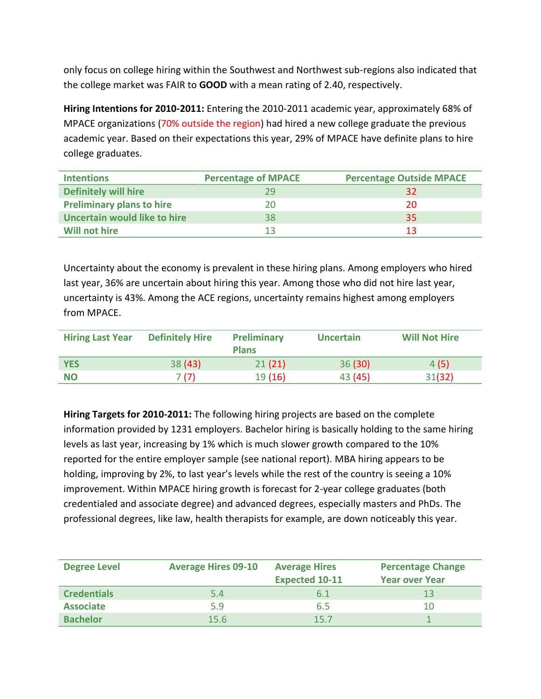only focus on college hiring within the Southwest and Northwest sub-regions also indicated that the college market was FAIR to **GOOD** with a mean rating of 2.40, respectively.

**Hiring Intentions for 2010-2011:** Entering the 2010-2011 academic year, approximately 68% of MPACE organizations (70% outside the region) had hired a new college graduate the previous academic year. Based on their expectations this year, 29% of MPACE have definite plans to hire college graduates.

| <b>Intentions</b>                   | <b>Percentage of MPACE</b> | <b>Percentage Outside MPACE</b> |
|-------------------------------------|----------------------------|---------------------------------|
| <b>Definitely will hire</b>         | 79                         | 32                              |
| <b>Preliminary plans to hire</b>    | 20                         | 20                              |
| <b>Uncertain would like to hire</b> | 38                         | 35                              |
| Will not hire                       |                            | 13                              |

Uncertainty about the economy is prevalent in these hiring plans. Among employers who hired last year, 36% are uncertain about hiring this year. Among those who did not hire last year, uncertainty is 43%. Among the ACE regions, uncertainty remains highest among employers from MPACE.

| <b>Hiring Last Year</b> | <b>Definitely Hire</b> | Preliminary<br><b>Plans</b> | <b>Uncertain</b> | <b>Will Not Hire</b> |
|-------------------------|------------------------|-----------------------------|------------------|----------------------|
| <b>YES</b>              | 38(43)                 | 21(21)                      | 36(30)           | 4(5)                 |
| <b>NO</b>               | 7 (7)                  | 19(16)                      | 43 (45)          | 31(32)               |

**Hiring Targets for 2010-2011:** The following hiring projects are based on the complete information provided by 1231 employers. Bachelor hiring is basically holding to the same hiring levels as last year, increasing by 1% which is much slower growth compared to the 10% reported for the entire employer sample (see national report). MBA hiring appears to be holding, improving by 2%, to last year's levels while the rest of the country is seeing a 10% improvement. Within MPACE hiring growth is forecast for 2-year college graduates (both credentialed and associate degree) and advanced degrees, especially masters and PhDs. The professional degrees, like law, health therapists for example, are down noticeably this year.

| <b>Degree Level</b> | <b>Average Hires 09-10</b> | <b>Average Hires</b><br><b>Expected 10-11</b> | <b>Percentage Change</b><br><b>Year over Year</b> |
|---------------------|----------------------------|-----------------------------------------------|---------------------------------------------------|
| <b>Credentials</b>  | 5.4                        | 6.1                                           |                                                   |
| <b>Associate</b>    | 5.9                        | 6.5                                           | 10                                                |
| <b>Bachelor</b>     | 15.6                       | 15.7                                          |                                                   |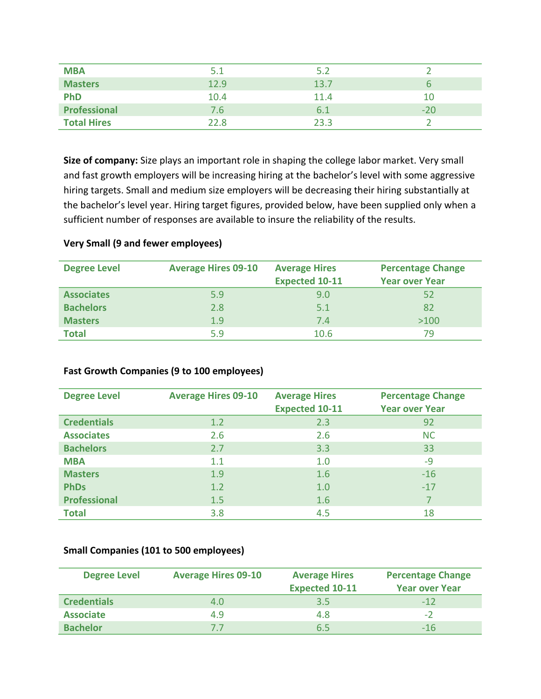| <b>MBA</b>         | 5.1  | 5.2  |       |
|--------------------|------|------|-------|
| <b>Masters</b>     | 12.9 | 13.7 |       |
| <b>PhD</b>         | 10.4 | 11.4 | 10    |
| Professional       | 7.6  | 6.1  | $-20$ |
| <b>Total Hires</b> | 22.8 | 23.3 |       |

**Size of company:** Size plays an important role in shaping the college labor market. Very small and fast growth employers will be increasing hiring at the bachelor's level with some aggressive hiring targets. Small and medium size employers will be decreasing their hiring substantially at the bachelor's level year. Hiring target figures, provided below, have been supplied only when a sufficient number of responses are available to insure the reliability of the results.

### **Very Small (9 and fewer employees)**

| <b>Degree Level</b> | <b>Average Hires 09-10</b> | <b>Average Hires</b><br><b>Expected 10-11</b> | <b>Percentage Change</b><br><b>Year over Year</b> |
|---------------------|----------------------------|-----------------------------------------------|---------------------------------------------------|
| <b>Associates</b>   | 5.9                        | 9.0                                           | 52                                                |
| <b>Bachelors</b>    | 2.8                        | 5.1                                           | 82                                                |
| <b>Masters</b>      | 1.9                        | 7.4                                           | >100                                              |
| <b>Total</b>        | 5.9                        | 10.6                                          | 79                                                |

### **Fast Growth Companies (9 to 100 employees)**

| <b>Degree Level</b> | <b>Average Hires 09-10</b> | <b>Average Hires</b><br><b>Expected 10-11</b> | <b>Percentage Change</b><br><b>Year over Year</b> |
|---------------------|----------------------------|-----------------------------------------------|---------------------------------------------------|
| <b>Credentials</b>  | 1.2                        | 2.3                                           | 92                                                |
| <b>Associates</b>   | 2.6                        | 2.6                                           | <b>NC</b>                                         |
| <b>Bachelors</b>    | 2.7                        | 3.3                                           | 33                                                |
| <b>MBA</b>          | 1.1                        | 1.0                                           | $-9$                                              |
| <b>Masters</b>      | 1.9                        | 1.6                                           | $-16$                                             |
| <b>PhDs</b>         | 1.2                        | 1.0                                           | $-17$                                             |
| <b>Professional</b> | 1.5                        | 1.6                                           |                                                   |
| <b>Total</b>        | 3.8                        | 4.5                                           | 18                                                |

### **Small Companies (101 to 500 employees)**

| <b>Degree Level</b> | <b>Average Hires 09-10</b> | <b>Average Hires</b><br><b>Expected 10-11</b> | <b>Percentage Change</b><br><b>Year over Year</b> |
|---------------------|----------------------------|-----------------------------------------------|---------------------------------------------------|
| <b>Credentials</b>  | 4.0                        | 3.5                                           | $-12$                                             |
| <b>Associate</b>    | 4.9                        | 4.8                                           | $-2$                                              |
| <b>Bachelor</b>     | 77                         | 6.5                                           | $-16$                                             |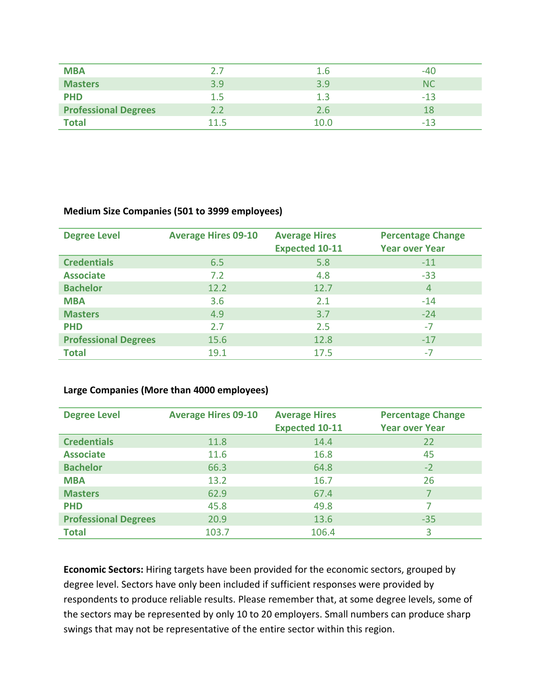| <b>MBA</b>                  |          | 1.6  | -40   |
|-----------------------------|----------|------|-------|
| <b>Masters</b>              | 3.9      | 3.9  | NC    |
| <b>PHD</b>                  | 1.5      | 1.3  | $-13$ |
| <b>Professional Degrees</b> |          | 2.6  |       |
| <b>Total</b>                | $-115 -$ | 10.0 | -13   |

### **Medium Size Companies (501 to 3999 employees)**

| <b>Degree Level</b>         | <b>Average Hires 09-10</b> | <b>Average Hires</b><br><b>Expected 10-11</b> | <b>Percentage Change</b><br><b>Year over Year</b> |
|-----------------------------|----------------------------|-----------------------------------------------|---------------------------------------------------|
| <b>Credentials</b>          | 6.5                        | 5.8                                           | $-11$                                             |
| <b>Associate</b>            | 7.2                        | 4.8                                           | $-33$                                             |
| <b>Bachelor</b>             | 12.2                       | 12.7                                          | $\overline{4}$                                    |
| <b>MBA</b>                  | 3.6                        | 2.1                                           | $-14$                                             |
| <b>Masters</b>              | 4.9                        | 3.7                                           | $-24$                                             |
| <b>PHD</b>                  | 2.7                        | 2.5                                           | -7                                                |
| <b>Professional Degrees</b> | 15.6                       | 12.8                                          | $-17$                                             |
| <b>Total</b>                | 19.1                       | 17.5                                          | -7                                                |

### **Large Companies (More than 4000 employees)**

| <b>Degree Level</b>         | <b>Average Hires 09-10</b> | <b>Average Hires</b><br><b>Expected 10-11</b> | <b>Percentage Change</b><br><b>Year over Year</b> |
|-----------------------------|----------------------------|-----------------------------------------------|---------------------------------------------------|
| <b>Credentials</b>          | 11.8                       | 14.4                                          | 22                                                |
| <b>Associate</b>            | 11.6                       | 16.8                                          | 45                                                |
| <b>Bachelor</b>             | 66.3                       | 64.8                                          | $-2$                                              |
| <b>MBA</b>                  | 13.2                       | 16.7                                          | 26                                                |
| <b>Masters</b>              | 62.9                       | 67.4                                          |                                                   |
| <b>PHD</b>                  | 45.8                       | 49.8                                          |                                                   |
| <b>Professional Degrees</b> | 20.9                       | 13.6                                          | $-35$                                             |
| <b>Total</b>                | 103.7                      | 106.4                                         | 3                                                 |

**Economic Sectors:** Hiring targets have been provided for the economic sectors, grouped by degree level. Sectors have only been included if sufficient responses were provided by respondents to produce reliable results. Please remember that, at some degree levels, some of the sectors may be represented by only 10 to 20 employers. Small numbers can produce sharp swings that may not be representative of the entire sector within this region.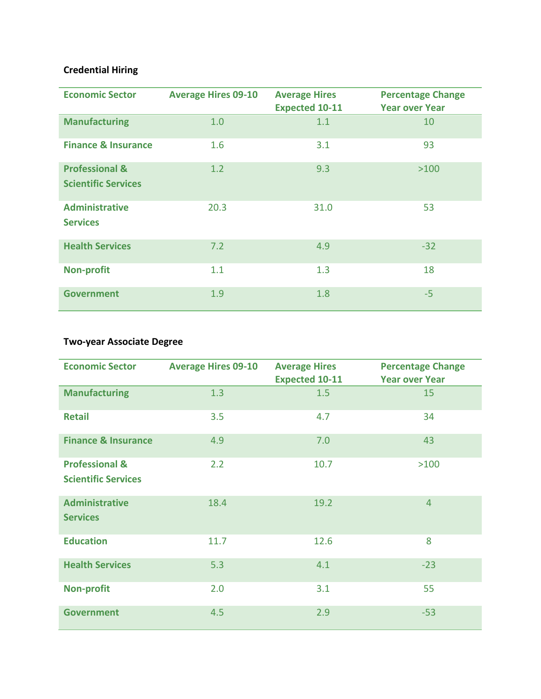### **Credential Hiring**

| <b>Economic Sector</b>                                  | <b>Average Hires 09-10</b> | <b>Average Hires</b><br><b>Expected 10-11</b> | <b>Percentage Change</b><br><b>Year over Year</b> |
|---------------------------------------------------------|----------------------------|-----------------------------------------------|---------------------------------------------------|
| <b>Manufacturing</b>                                    | 1.0                        | 1.1                                           | 10                                                |
| <b>Finance &amp; Insurance</b>                          | 1.6                        | 3.1                                           | 93                                                |
| <b>Professional &amp;</b><br><b>Scientific Services</b> | 1.2                        | 9.3                                           | >100                                              |
| <b>Administrative</b><br><b>Services</b>                | 20.3                       | 31.0                                          | 53                                                |
| <b>Health Services</b>                                  | 7.2                        | 4.9                                           | $-32$                                             |
| <b>Non-profit</b>                                       | 1.1                        | 1.3                                           | 18                                                |
| <b>Government</b>                                       | 1.9                        | 1.8                                           | $-5$                                              |

### **Two-year Associate Degree**

| <b>Economic Sector</b>                                  | <b>Average Hires 09-10</b> | <b>Average Hires</b><br><b>Expected 10-11</b> | <b>Percentage Change</b><br><b>Year over Year</b> |
|---------------------------------------------------------|----------------------------|-----------------------------------------------|---------------------------------------------------|
| <b>Manufacturing</b>                                    | 1.3                        | 1.5                                           | 15                                                |
| <b>Retail</b>                                           | 3.5                        | 4.7                                           | 34                                                |
| <b>Finance &amp; Insurance</b>                          | 4.9                        | 7.0                                           | 43                                                |
| <b>Professional &amp;</b><br><b>Scientific Services</b> | 2.2                        | 10.7                                          | >100                                              |
| <b>Administrative</b><br><b>Services</b>                | 18.4                       | 19.2                                          | $\overline{4}$                                    |
| <b>Education</b>                                        | 11.7                       | 12.6                                          | 8                                                 |
| <b>Health Services</b>                                  | 5.3                        | 4.1                                           | $-23$                                             |
| <b>Non-profit</b>                                       | 2.0                        | 3.1                                           | 55                                                |
| <b>Government</b>                                       | 4.5                        | 2.9                                           | $-53$                                             |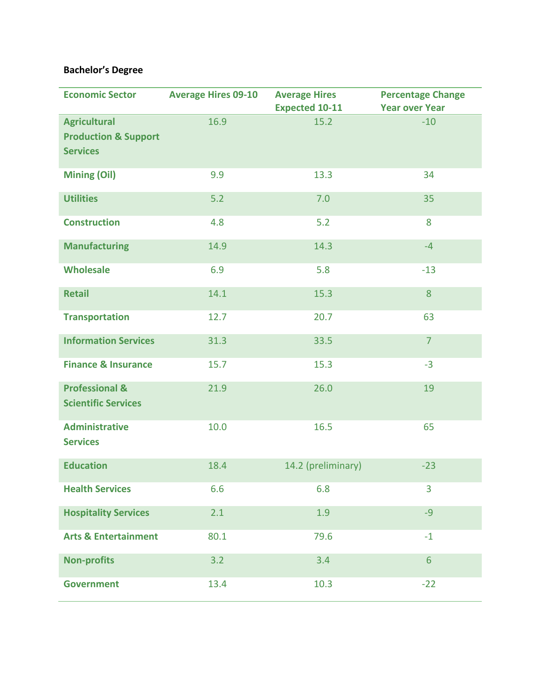### **Bachelor's Degree**

| <b>Economic Sector</b>                                                    | <b>Average Hires 09-10</b> | <b>Average Hires</b><br><b>Expected 10-11</b> | <b>Percentage Change</b><br><b>Year over Year</b> |
|---------------------------------------------------------------------------|----------------------------|-----------------------------------------------|---------------------------------------------------|
| <b>Agricultural</b><br><b>Production &amp; Support</b><br><b>Services</b> | 16.9                       | 15.2                                          | $-10$                                             |
| <b>Mining (Oil)</b>                                                       | 9.9                        | 13.3                                          | 34                                                |
| <b>Utilities</b>                                                          | 5.2                        | 7.0                                           | 35                                                |
| <b>Construction</b>                                                       | 4.8                        | 5.2                                           | 8                                                 |
| <b>Manufacturing</b>                                                      | 14.9                       | 14.3                                          | $-4$                                              |
| <b>Wholesale</b>                                                          | 6.9                        | 5.8                                           | $-13$                                             |
| <b>Retail</b>                                                             | 14.1                       | 15.3                                          | 8                                                 |
| <b>Transportation</b>                                                     | 12.7                       | 20.7                                          | 63                                                |
| <b>Information Services</b>                                               | 31.3                       | 33.5                                          | $\overline{7}$                                    |
| <b>Finance &amp; Insurance</b>                                            | 15.7                       | 15.3                                          | $-3$                                              |
| <b>Professional &amp;</b><br><b>Scientific Services</b>                   | 21.9                       | 26.0                                          | 19                                                |
| <b>Administrative</b><br><b>Services</b>                                  | 10.0                       | 16.5                                          | 65                                                |
| <b>Education</b>                                                          | 18.4                       | 14.2 (preliminary)                            | $-23$                                             |
| <b>Health Services</b>                                                    | 6.6                        | 6.8                                           | 3                                                 |
| <b>Hospitality Services</b>                                               | 2.1                        | 1.9                                           | $-9$                                              |
| <b>Arts &amp; Entertainment</b>                                           | 80.1                       | 79.6                                          | $-1$                                              |
| <b>Non-profits</b>                                                        | 3.2                        | 3.4                                           | $6\phantom{1}$                                    |
| <b>Government</b>                                                         | 13.4                       | 10.3                                          | $-22$                                             |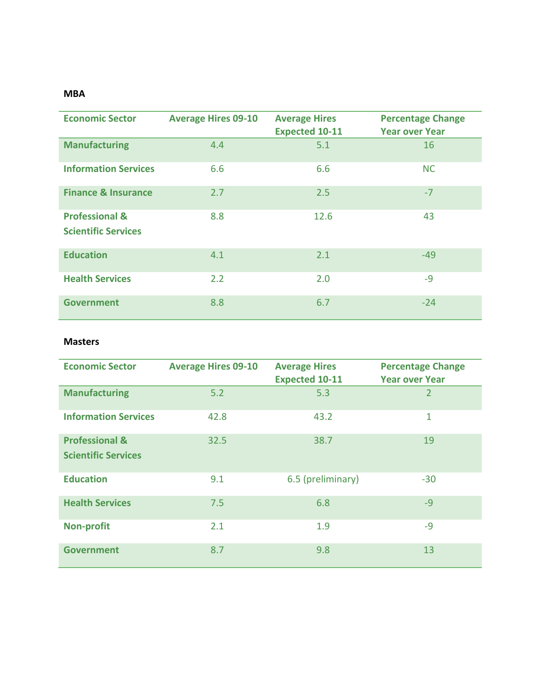### **MBA**

| <b>Economic Sector</b>                                  | <b>Average Hires 09-10</b> | <b>Average Hires</b><br><b>Expected 10-11</b> | <b>Percentage Change</b><br><b>Year over Year</b> |
|---------------------------------------------------------|----------------------------|-----------------------------------------------|---------------------------------------------------|
| <b>Manufacturing</b>                                    | 4.4                        | 5.1                                           | 16                                                |
| <b>Information Services</b>                             | 6.6                        | 6.6                                           | <b>NC</b>                                         |
| <b>Finance &amp; Insurance</b>                          | 2.7                        | 2.5                                           | $-7$                                              |
| <b>Professional &amp;</b><br><b>Scientific Services</b> | 8.8                        | 12.6                                          | 43                                                |
| <b>Education</b>                                        | 4.1                        | 2.1                                           | $-49$                                             |
| <b>Health Services</b>                                  | 2.2                        | 2.0                                           | $-9$                                              |
| Government                                              | 8.8                        | 6.7                                           | $-24$                                             |

### **Masters**

| <b>Economic Sector</b>                                  | <b>Average Hires 09-10</b> | <b>Average Hires</b><br><b>Expected 10-11</b> | <b>Percentage Change</b><br><b>Year over Year</b> |
|---------------------------------------------------------|----------------------------|-----------------------------------------------|---------------------------------------------------|
| <b>Manufacturing</b>                                    | 5.2                        | 5.3                                           | 2                                                 |
| <b>Information Services</b>                             | 42.8                       | 43.2                                          | 1                                                 |
| <b>Professional &amp;</b><br><b>Scientific Services</b> | 32.5                       | 38.7                                          | 19                                                |
| <b>Education</b>                                        | 9.1                        | 6.5 (preliminary)                             | $-30$                                             |
| <b>Health Services</b>                                  | 7.5                        | 6.8                                           | $-9$                                              |
| <b>Non-profit</b>                                       | 2.1                        | 1.9                                           | $-9$                                              |
| <b>Government</b>                                       | 8.7                        | 9.8                                           | 13                                                |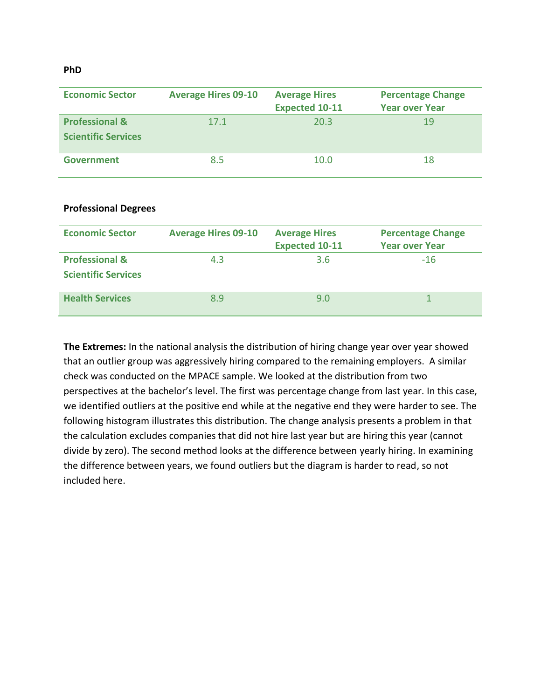#### **PhD**

| <b>Economic Sector</b>                                  | <b>Average Hires 09-10</b> | <b>Average Hires</b><br><b>Expected 10-11</b> | <b>Percentage Change</b><br><b>Year over Year</b> |
|---------------------------------------------------------|----------------------------|-----------------------------------------------|---------------------------------------------------|
| <b>Professional &amp;</b><br><b>Scientific Services</b> | 17.1                       | 20.3                                          | 19                                                |
| <b>Government</b>                                       | 8.5                        | 10.0                                          | 18                                                |

#### **Professional Degrees**

| <b>Economic Sector</b>                                  | <b>Average Hires 09-10</b> | <b>Average Hires</b><br><b>Expected 10-11</b> | <b>Percentage Change</b><br><b>Year over Year</b> |
|---------------------------------------------------------|----------------------------|-----------------------------------------------|---------------------------------------------------|
| <b>Professional &amp;</b><br><b>Scientific Services</b> | 4.3                        | 3.6                                           | $-16$                                             |
| <b>Health Services</b>                                  | 8.9                        | 9.0                                           |                                                   |

**The Extremes:** In the national analysis the distribution of hiring change year over year showed that an outlier group was aggressively hiring compared to the remaining employers. A similar check was conducted on the MPACE sample. We looked at the distribution from two perspectives at the bachelor's level. The first was percentage change from last year. In this case, we identified outliers at the positive end while at the negative end they were harder to see. The following histogram illustrates this distribution. The change analysis presents a problem in that the calculation excludes companies that did not hire last year but are hiring this year (cannot divide by zero). The second method looks at the difference between yearly hiring. In examining the difference between years, we found outliers but the diagram is harder to read, so not included here.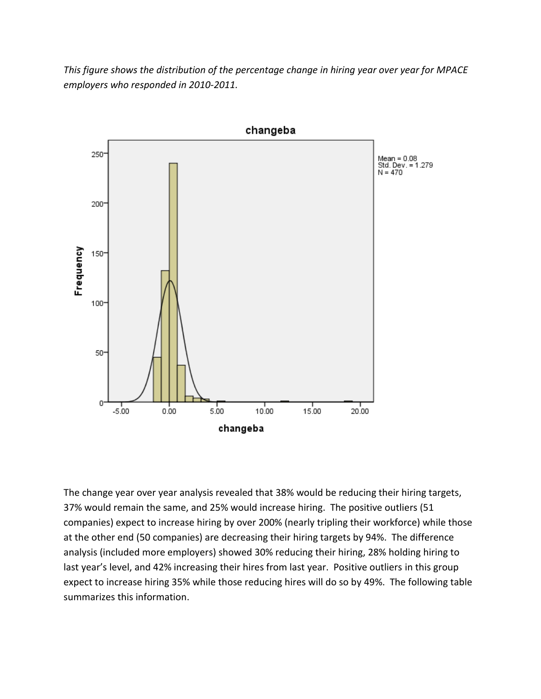*This figure shows the distribution of the percentage change in hiring year over year for MPACE employers who responded in 2010-2011.*



The change year over year analysis revealed that 38% would be reducing their hiring targets, 37% would remain the same, and 25% would increase hiring. The positive outliers (51 companies) expect to increase hiring by over 200% (nearly tripling their workforce) while those at the other end (50 companies) are decreasing their hiring targets by 94%. The difference analysis (included more employers) showed 30% reducing their hiring, 28% holding hiring to last year's level, and 42% increasing their hires from last year. Positive outliers in this group expect to increase hiring 35% while those reducing hires will do so by 49%. The following table summarizes this information.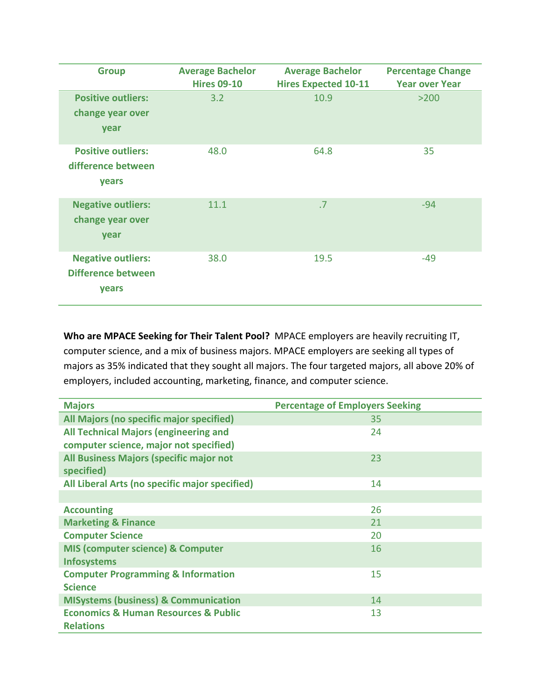| <b>Group</b>                                                    | <b>Average Bachelor</b><br><b>Hires 09-10</b> | <b>Average Bachelor</b><br><b>Hires Expected 10-11</b> | <b>Percentage Change</b><br><b>Year over Year</b> |
|-----------------------------------------------------------------|-----------------------------------------------|--------------------------------------------------------|---------------------------------------------------|
| <b>Positive outliers:</b><br>change year over<br>year           | 3.2                                           | 10.9                                                   | $>200$                                            |
| <b>Positive outliers:</b><br>difference between<br>years        | 48.0                                          | 64.8                                                   | 35                                                |
| <b>Negative outliers:</b><br>change year over<br>year           | 11.1                                          | .7                                                     | $-94$                                             |
| <b>Negative outliers:</b><br><b>Difference between</b><br>years | 38.0                                          | 19.5                                                   | $-49$                                             |

**Who are MPACE Seeking for Their Talent Pool?** MPACE employers are heavily recruiting IT, computer science, and a mix of business majors. MPACE employers are seeking all types of majors as 35% indicated that they sought all majors. The four targeted majors, all above 20% of employers, included accounting, marketing, finance, and computer science.

| <b>Majors</b>                                       | <b>Percentage of Employers Seeking</b> |
|-----------------------------------------------------|----------------------------------------|
| All Majors (no specific major specified)            | 35                                     |
| <b>All Technical Majors (engineering and</b>        | 24                                     |
| computer science, major not specified)              |                                        |
| All Business Majors (specific major not             | 23                                     |
| specified)                                          |                                        |
| All Liberal Arts (no specific major specified)      | 14                                     |
|                                                     |                                        |
| <b>Accounting</b>                                   | 26                                     |
| <b>Marketing &amp; Finance</b>                      | 21                                     |
| <b>Computer Science</b>                             | 20                                     |
| MIS (computer science) & Computer                   | 16                                     |
| <b>Infosystems</b>                                  |                                        |
| <b>Computer Programming &amp; Information</b>       | 15                                     |
| <b>Science</b>                                      |                                        |
| <b>MISystems (business) &amp; Communication</b>     | 14                                     |
| <b>Economics &amp; Human Resources &amp; Public</b> | 13                                     |
| <b>Relations</b>                                    |                                        |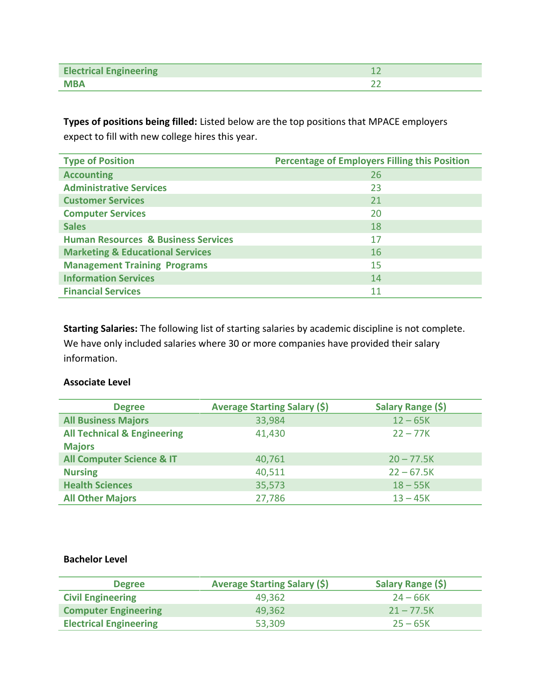| <b>Electrical Engineering</b> |  |
|-------------------------------|--|
| <b>MBA</b>                    |  |

**Types of positions being filled:** Listed below are the top positions that MPACE employers expect to fill with new college hires this year.

| <b>Type of Position</b>                        | <b>Percentage of Employers Filling this Position</b> |
|------------------------------------------------|------------------------------------------------------|
| <b>Accounting</b>                              | 26                                                   |
| <b>Administrative Services</b>                 | 23                                                   |
| <b>Customer Services</b>                       | 21                                                   |
| <b>Computer Services</b>                       | 20                                                   |
| <b>Sales</b>                                   | 18                                                   |
| <b>Human Resources &amp; Business Services</b> | 17                                                   |
| <b>Marketing &amp; Educational Services</b>    | 16                                                   |
| <b>Management Training Programs</b>            | 15                                                   |
| <b>Information Services</b>                    | 14                                                   |
| <b>Financial Services</b>                      | 11                                                   |

**Starting Salaries:** The following list of starting salaries by academic discipline is not complete. We have only included salaries where 30 or more companies have provided their salary information.

### **Associate Level**

| <b>Degree</b>                          | <b>Average Starting Salary (\$)</b> | Salary Range (\$) |
|----------------------------------------|-------------------------------------|-------------------|
| <b>All Business Majors</b>             | 33,984                              | $12 - 65K$        |
| <b>All Technical &amp; Engineering</b> | 41,430                              | $22 - 77K$        |
| <b>Majors</b>                          |                                     |                   |
| <b>All Computer Science &amp; IT</b>   | 40,761                              | $20 - 77.5K$      |
| <b>Nursing</b>                         | 40,511                              | $22 - 67.5K$      |
| <b>Health Sciences</b>                 | 35,573                              | $18 - 55K$        |
| <b>All Other Majors</b>                | 27,786                              | $13 - 45K$        |

### **Bachelor Level**

| <b>Degree</b>                 | <b>Average Starting Salary (\$)</b> | Salary Range (\$) |
|-------------------------------|-------------------------------------|-------------------|
| <b>Civil Engineering</b>      | 49.362                              | $24 - 66K$        |
| <b>Computer Engineering</b>   | 49.362                              | $21 - 77.5K$      |
| <b>Electrical Engineering</b> | 53,309                              | $25 - 65K$        |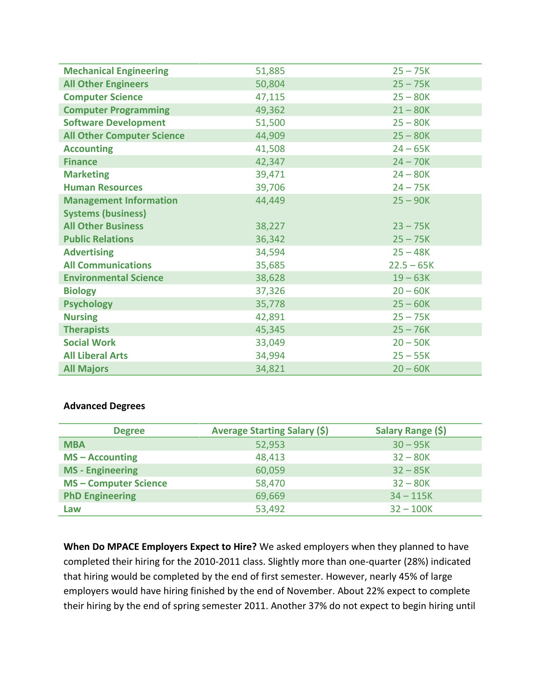| <b>Mechanical Engineering</b>     | 51,885 | $25 - 75K$   |
|-----------------------------------|--------|--------------|
| <b>All Other Engineers</b>        | 50,804 | $25 - 75K$   |
| <b>Computer Science</b>           | 47,115 | $25 - 80K$   |
| <b>Computer Programming</b>       | 49,362 | $21 - 80K$   |
| <b>Software Development</b>       | 51,500 | $25 - 80K$   |
| <b>All Other Computer Science</b> | 44,909 | $25 - 80K$   |
| <b>Accounting</b>                 | 41,508 | $24 - 65K$   |
| <b>Finance</b>                    | 42,347 | $24 - 70K$   |
| <b>Marketing</b>                  | 39,471 | $24 - 80K$   |
| <b>Human Resources</b>            | 39,706 | $24 - 75K$   |
| <b>Management Information</b>     | 44,449 | $25 - 90K$   |
| <b>Systems (business)</b>         |        |              |
| <b>All Other Business</b>         | 38,227 | $23 - 75K$   |
| <b>Public Relations</b>           | 36,342 | $25 - 75K$   |
| <b>Advertising</b>                | 34,594 | $25 - 48K$   |
| <b>All Communications</b>         | 35,685 | $22.5 - 65K$ |
| <b>Environmental Science</b>      | 38,628 | $19 - 63K$   |
| <b>Biology</b>                    | 37,326 | $20 - 60K$   |
| <b>Psychology</b>                 | 35,778 | $25 - 60K$   |
| <b>Nursing</b>                    | 42,891 | $25 - 75K$   |
| <b>Therapists</b>                 | 45,345 | $25 - 76K$   |
| <b>Social Work</b>                | 33,049 | $20 - 50K$   |
| <b>All Liberal Arts</b>           | 34,994 | $25 - 55K$   |
| <b>All Majors</b>                 | 34,821 | $20 - 60K$   |

### **Advanced Degrees**

| <b>Degree</b>              | <b>Average Starting Salary (\$)</b> | Salary Range (\$) |
|----------------------------|-------------------------------------|-------------------|
| <b>MBA</b>                 | 52,953                              | $30 - 95K$        |
| $MS - According$           | 48,413                              | $32 - 80K$        |
| <b>MS</b> - Engineering    | 60,059                              | $32 - 85K$        |
| <b>MS-Computer Science</b> | 58,470                              | $32 - 80K$        |
| <b>PhD Engineering</b>     | 69,669                              | $34 - 115K$       |
| Law                        | 53,492                              | $32 - 100K$       |

**When Do MPACE Employers Expect to Hire?** We asked employers when they planned to have completed their hiring for the 2010-2011 class. Slightly more than one-quarter (28%) indicated that hiring would be completed by the end of first semester. However, nearly 45% of large employers would have hiring finished by the end of November. About 22% expect to complete their hiring by the end of spring semester 2011. Another 37% do not expect to begin hiring until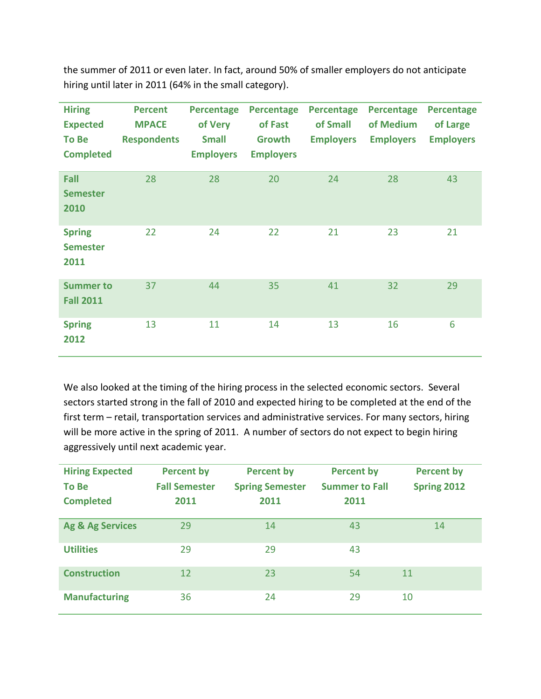the summer of 2011 or even later. In fact, around 50% of smaller employers do not anticipate hiring until later in 2011 (64% in the small category).

| <b>Hiring</b><br><b>Expected</b><br><b>To Be</b><br><b>Completed</b> | <b>Percent</b><br><b>MPACE</b><br><b>Respondents</b> | <b>Percentage</b><br>of Very<br><b>Small</b><br><b>Employers</b> | <b>Percentage</b><br>of Fast<br>Growth<br><b>Employers</b> | <b>Percentage</b><br>of Small<br><b>Employers</b> | <b>Percentage</b><br>of Medium<br><b>Employers</b> | <b>Percentage</b><br>of Large<br><b>Employers</b> |
|----------------------------------------------------------------------|------------------------------------------------------|------------------------------------------------------------------|------------------------------------------------------------|---------------------------------------------------|----------------------------------------------------|---------------------------------------------------|
| Fall<br><b>Semester</b><br>2010                                      | 28                                                   | 28                                                               | 20                                                         | 24                                                | 28                                                 | 43                                                |
| <b>Spring</b><br><b>Semester</b><br>2011                             | 22                                                   | 24                                                               | 22                                                         | 21                                                | 23                                                 | 21                                                |
| <b>Summer to</b><br><b>Fall 2011</b>                                 | 37                                                   | 44                                                               | 35                                                         | 41                                                | 32                                                 | 29                                                |
| <b>Spring</b><br>2012                                                | 13                                                   | 11                                                               | 14                                                         | 13                                                | 16                                                 | 6                                                 |

We also looked at the timing of the hiring process in the selected economic sectors. Several sectors started strong in the fall of 2010 and expected hiring to be completed at the end of the first term – retail, transportation services and administrative services. For many sectors, hiring will be more active in the spring of 2011. A number of sectors do not expect to begin hiring aggressively until next academic year.

| <b>Hiring Expected</b><br><b>To Be</b><br><b>Completed</b> | <b>Percent by</b><br><b>Fall Semester</b><br>2011 | <b>Percent by</b><br><b>Spring Semester</b><br>2011 | <b>Percent by</b><br><b>Summer to Fall</b><br>2011 | <b>Percent by</b><br>Spring 2012 |
|------------------------------------------------------------|---------------------------------------------------|-----------------------------------------------------|----------------------------------------------------|----------------------------------|
| Ag & Ag Services                                           | 29                                                | 14                                                  | 43                                                 | 14                               |
| <b>Utilities</b>                                           | 29                                                | 29                                                  | 43                                                 |                                  |
| <b>Construction</b>                                        | 12                                                | 23                                                  | 54                                                 | 11                               |
| <b>Manufacturing</b>                                       | 36                                                | 24                                                  | 29                                                 | 10                               |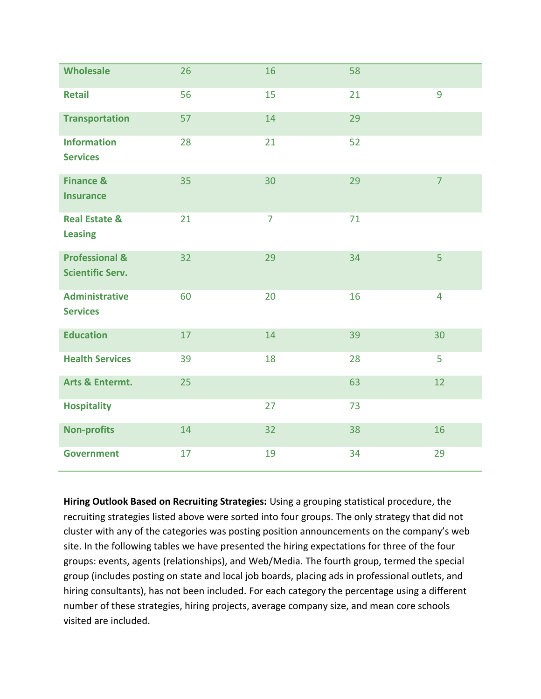| <b>Wholesale</b>                                     | 26 | 16             | 58 |                |
|------------------------------------------------------|----|----------------|----|----------------|
| <b>Retail</b>                                        | 56 | 15             | 21 | 9              |
| <b>Transportation</b>                                | 57 | 14             | 29 |                |
| <b>Information</b><br><b>Services</b>                | 28 | 21             | 52 |                |
| <b>Finance &amp;</b><br><b>Insurance</b>             | 35 | 30             | 29 | $\overline{7}$ |
| <b>Real Estate &amp;</b><br><b>Leasing</b>           | 21 | $\overline{7}$ | 71 |                |
| <b>Professional &amp;</b><br><b>Scientific Serv.</b> | 32 | 29             | 34 | $\overline{5}$ |
| <b>Administrative</b><br><b>Services</b>             | 60 | 20             | 16 | 4              |
| <b>Education</b>                                     | 17 | 14             | 39 | 30             |
| <b>Health Services</b>                               | 39 | 18             | 28 | 5              |
| Arts & Entermt.                                      | 25 |                | 63 | 12             |
| <b>Hospitality</b>                                   |    | 27             | 73 |                |
| <b>Non-profits</b>                                   | 14 | 32             | 38 | 16             |
| <b>Government</b>                                    | 17 | 19             | 34 | 29             |

**Hiring Outlook Based on Recruiting Strategies:** Using a grouping statistical procedure, the recruiting strategies listed above were sorted into four groups. The only strategy that did not cluster with any of the categories was posting position announcements on the company's web site. In the following tables we have presented the hiring expectations for three of the four groups: events, agents (relationships), and Web/Media. The fourth group, termed the special group (includes posting on state and local job boards, placing ads in professional outlets, and hiring consultants), has not been included. For each category the percentage using a different number of these strategies, hiring projects, average company size, and mean core schools visited are included.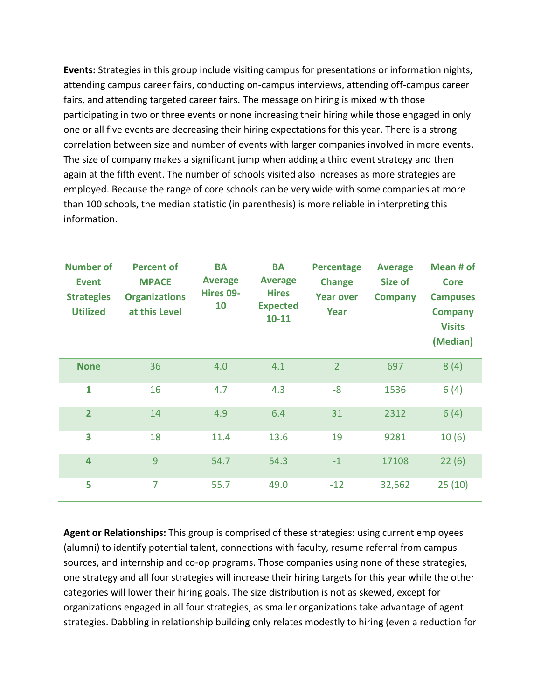**Events:** Strategies in this group include visiting campus for presentations or information nights, attending campus career fairs, conducting on-campus interviews, attending off-campus career fairs, and attending targeted career fairs. The message on hiring is mixed with those participating in two or three events or none increasing their hiring while those engaged in only one or all five events are decreasing their hiring expectations for this year. There is a strong correlation between size and number of events with larger companies involved in more events. The size of company makes a significant jump when adding a third event strategy and then again at the fifth event. The number of schools visited also increases as more strategies are employed. Because the range of core schools can be very wide with some companies at more than 100 schools, the median statistic (in parenthesis) is more reliable in interpreting this information.

| <b>Number of</b><br><b>Event</b><br><b>Strategies</b><br><b>Utilized</b> | <b>Percent of</b><br><b>MPACE</b><br><b>Organizations</b><br>at this Level | <b>BA</b><br><b>Average</b><br>Hires 09-<br>10 | <b>BA</b><br><b>Average</b><br><b>Hires</b><br><b>Expected</b><br>$10 - 11$ | <b>Percentage</b><br><b>Change</b><br><b>Year over</b><br>Year | <b>Average</b><br>Size of<br><b>Company</b> | Mean # of<br><b>Core</b><br><b>Campuses</b><br><b>Company</b><br><b>Visits</b><br>(Median) |
|--------------------------------------------------------------------------|----------------------------------------------------------------------------|------------------------------------------------|-----------------------------------------------------------------------------|----------------------------------------------------------------|---------------------------------------------|--------------------------------------------------------------------------------------------|
| <b>None</b>                                                              | 36                                                                         | 4.0                                            | 4.1                                                                         | $\overline{2}$                                                 | 697                                         | 8(4)                                                                                       |
| $\mathbf{1}$                                                             | 16                                                                         | 4.7                                            | 4.3                                                                         | $-8$                                                           | 1536                                        | 6(4)                                                                                       |
| $\overline{2}$                                                           | 14                                                                         | 4.9                                            | 6.4                                                                         | 31                                                             | 2312                                        | 6(4)                                                                                       |
| 3                                                                        | 18                                                                         | 11.4                                           | 13.6                                                                        | 19                                                             | 9281                                        | 10(6)                                                                                      |
| 4                                                                        | 9                                                                          | 54.7                                           | 54.3                                                                        | $-1$                                                           | 17108                                       | 22(6)                                                                                      |
| 5                                                                        | $\overline{7}$                                                             | 55.7                                           | 49.0                                                                        | $-12$                                                          | 32,562                                      | 25(10)                                                                                     |

**Agent or Relationships:** This group is comprised of these strategies: using current employees (alumni) to identify potential talent, connections with faculty, resume referral from campus sources, and internship and co-op programs. Those companies using none of these strategies, one strategy and all four strategies will increase their hiring targets for this year while the other categories will lower their hiring goals. The size distribution is not as skewed, except for organizations engaged in all four strategies, as smaller organizations take advantage of agent strategies. Dabbling in relationship building only relates modestly to hiring (even a reduction for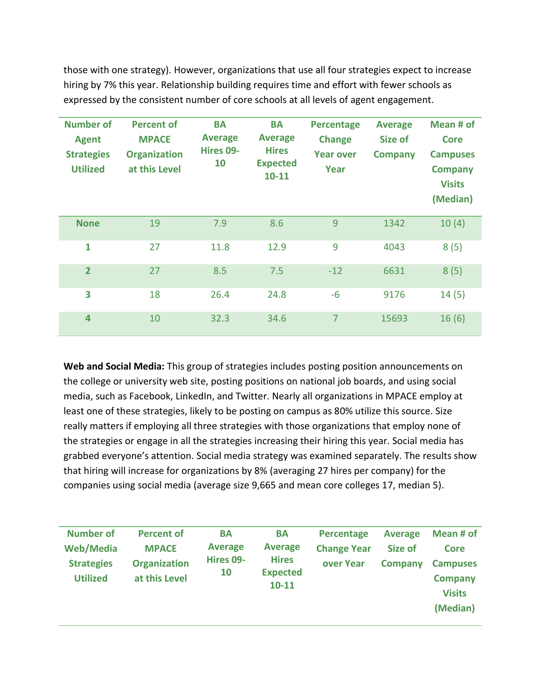those with one strategy). However, organizations that use all four strategies expect to increase hiring by 7% this year. Relationship building requires time and effort with fewer schools as expressed by the consistent number of core schools at all levels of agent engagement.

| <b>Number of</b><br><b>Agent</b><br><b>Strategies</b><br><b>Utilized</b> | <b>Percent of</b><br><b>MPACE</b><br><b>Organization</b><br>at this Level | <b>BA</b><br><b>Average</b><br>Hires 09-<br>10 | <b>BA</b><br><b>Average</b><br><b>Hires</b><br><b>Expected</b><br>$10 - 11$ | <b>Percentage</b><br><b>Change</b><br><b>Year over</b><br>Year | <b>Average</b><br>Size of<br><b>Company</b> | Mean # of<br>Core<br><b>Campuses</b><br><b>Company</b><br><b>Visits</b><br>(Median) |
|--------------------------------------------------------------------------|---------------------------------------------------------------------------|------------------------------------------------|-----------------------------------------------------------------------------|----------------------------------------------------------------|---------------------------------------------|-------------------------------------------------------------------------------------|
| <b>None</b>                                                              | 19                                                                        | 7.9                                            | 8.6                                                                         | 9                                                              | 1342                                        | 10(4)                                                                               |
| 1                                                                        | 27                                                                        | 11.8                                           | 12.9                                                                        | 9                                                              | 4043                                        | 8(5)                                                                                |
| $\overline{2}$                                                           | 27                                                                        | 8.5                                            | 7.5                                                                         | $-12$                                                          | 6631                                        | 8(5)                                                                                |
| 3                                                                        | 18                                                                        | 26.4                                           | 24.8                                                                        | $-6$                                                           | 9176                                        | 14(5)                                                                               |
| 4                                                                        | 10                                                                        | 32.3                                           | 34.6                                                                        | $\overline{7}$                                                 | 15693                                       | 16(6)                                                                               |

**Web and Social Media:** This group of strategies includes posting position announcements on the college or university web site, posting positions on national job boards, and using social media, such as Facebook, LinkedIn, and Twitter. Nearly all organizations in MPACE employ at least one of these strategies, likely to be posting on campus as 80% utilize this source. Size really matters if employing all three strategies with those organizations that employ none of the strategies or engage in all the strategies increasing their hiring this year. Social media has grabbed everyone's attention. Social media strategy was examined separately. The results show that hiring will increase for organizations by 8% (averaging 27 hires per company) for the companies using social media (average size 9,665 and mean core colleges 17, median 5).

| <b>Number of</b><br><b>Web/Media</b><br><b>Strategies</b><br><b>Utilized</b> | <b>Percent of</b><br><b>MPACE</b><br><b>Organization</b><br>at this Level | BA<br><b>Average</b><br>Hires 09-<br>10 | <b>BA</b><br><b>Average</b><br><b>Hires</b><br><b>Expected</b><br>$10 - 11$ | Percentage<br><b>Change Year</b><br>over Year | <b>Average</b><br>Size of<br><b>Company</b> | Mean # of<br>Core<br><b>Campuses</b><br><b>Company</b><br><b>Visits</b> |
|------------------------------------------------------------------------------|---------------------------------------------------------------------------|-----------------------------------------|-----------------------------------------------------------------------------|-----------------------------------------------|---------------------------------------------|-------------------------------------------------------------------------|
|                                                                              |                                                                           |                                         |                                                                             |                                               |                                             | (Median)                                                                |
|                                                                              |                                                                           |                                         |                                                                             |                                               |                                             |                                                                         |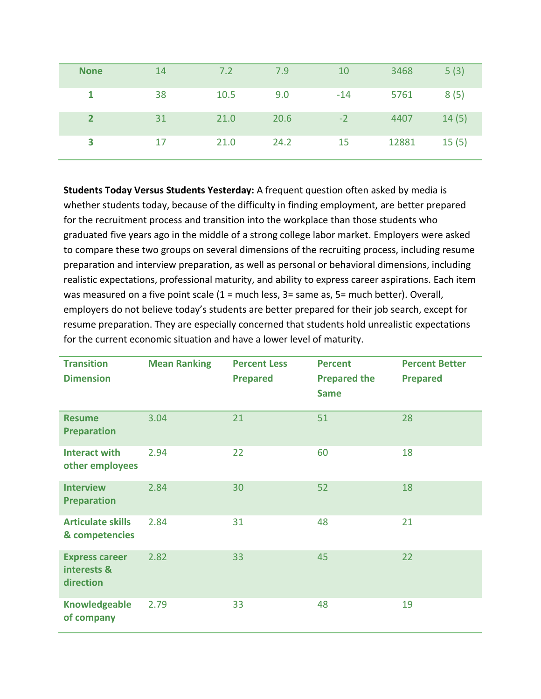| <b>None</b>    | 14 | 7.2  | 7.9  | 10    | 3468  | 5(3)  |
|----------------|----|------|------|-------|-------|-------|
|                | 38 | 10.5 | 9.0  | $-14$ | 5761  | 8(5)  |
| $\overline{2}$ | 31 | 21.0 | 20.6 | $-2$  | 4407  | 14(5) |
| 3              | 17 | 21.0 | 24.2 | 15    | 12881 | 15(5) |

**Students Today Versus Students Yesterday:** A frequent question often asked by media is whether students today, because of the difficulty in finding employment, are better prepared for the recruitment process and transition into the workplace than those students who graduated five years ago in the middle of a strong college labor market. Employers were asked to compare these two groups on several dimensions of the recruiting process, including resume preparation and interview preparation, as well as personal or behavioral dimensions, including realistic expectations, professional maturity, and ability to express career aspirations. Each item was measured on a five point scale (1 = much less, 3 = same as, 5 = much better). Overall, employers do not believe today's students are better prepared for their job search, except for resume preparation. They are especially concerned that students hold unrealistic expectations for the current economic situation and have a lower level of maturity.

| <b>Transition</b><br><b>Dimension</b>             | <b>Mean Ranking</b> | <b>Percent Less</b><br><b>Prepared</b> | <b>Percent</b><br><b>Prepared the</b><br><b>Same</b> | <b>Percent Better</b><br><b>Prepared</b> |
|---------------------------------------------------|---------------------|----------------------------------------|------------------------------------------------------|------------------------------------------|
| <b>Resume</b><br><b>Preparation</b>               | 3.04                | 21                                     | 51                                                   | 28                                       |
| <b>Interact with</b><br>other employees           | 2.94                | 22                                     | 60                                                   | 18                                       |
| <b>Interview</b><br><b>Preparation</b>            | 2.84                | 30                                     | 52                                                   | 18                                       |
| <b>Articulate skills</b><br>& competencies        | 2.84                | 31                                     | 48                                                   | 21                                       |
| <b>Express career</b><br>interests &<br>direction | 2.82                | 33                                     | 45                                                   | 22                                       |
| <b>Knowledgeable</b><br>of company                | 2.79                | 33                                     | 48                                                   | 19                                       |